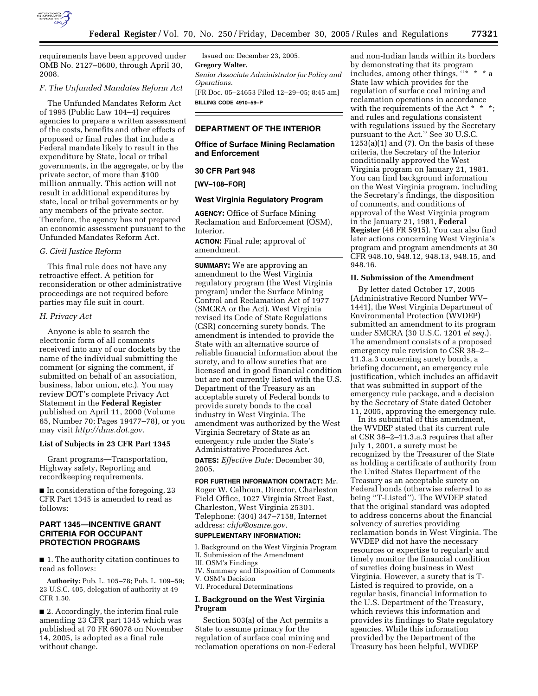

requirements have been approved under OMB No. 2127–0600, through April 30, 2008.

### *F. The Unfunded Mandates Reform Act*

The Unfunded Mandates Reform Act of 1995 (Public Law 104–4) requires agencies to prepare a written assessment of the costs, benefits and other effects of proposed or final rules that include a Federal mandate likely to result in the expenditure by State, local or tribal governments, in the aggregate, or by the private sector, of more than \$100 million annually. This action will not result in additional expenditures by state, local or tribal governments or by any members of the private sector. Therefore, the agency has not prepared an economic assessment pursuant to the Unfunded Mandates Reform Act.

## *G. Civil Justice Reform*

This final rule does not have any retroactive effect. A petition for reconsideration or other administrative proceedings are not required before parties may file suit in court.

### *H. Privacy Act*

Anyone is able to search the electronic form of all comments received into any of our dockets by the name of the individual submitting the comment (or signing the comment, if submitted on behalf of an association, business, labor union, etc.). You may review DOT's complete Privacy Act Statement in the **Federal Register**  published on April 11, 2000 (Volume 65, Number 70; Pages 19477–78), or you may visit *http://dms.dot.gov*.

### **List of Subjects in 23 CFR Part 1345**

Grant programs—Transportation, Highway safety, Reporting and recordkeeping requirements.

■ In consideration of the foregoing, 23 CFR Part 1345 is amended to read as follows:

## **PART 1345—INCENTIVE GRANT CRITERIA FOR OCCUPANT PROTECTION PROGRAMS**

■ 1. The authority citation continues to read as follows:

**Authority:** Pub. L. 105–78; Pub. L. 109–59; 23 U.S.C. 405, delegation of authority at 49 CFR 1.50.

■ 2. Accordingly, the interim final rule amending 23 CFR part 1345 which was published at 70 FR 69078 on November 14, 2005, is adopted as a final rule without change.

Issued on: December 23, 2005. **Gregory Walter,**  *Senior Associate Administrator for Policy and Operations.*  [FR Doc. 05–24653 Filed 12–29–05; 8:45 am] **BILLING CODE 4910–59–P** 

# **DEPARTMENT OF THE INTERIOR**

## **Office of Surface Mining Reclamation and Enforcement**

### **30 CFR Part 948**

# **[WV–108–FOR]**

### **West Virginia Regulatory Program**

**AGENCY:** Office of Surface Mining Reclamation and Enforcement (OSM), Interior.

**ACTION:** Final rule; approval of amendment.

**SUMMARY:** We are approving an amendment to the West Virginia regulatory program (the West Virginia program) under the Surface Mining Control and Reclamation Act of 1977 (SMCRA or the Act). West Virginia revised its Code of State Regulations (CSR) concerning surety bonds. The amendment is intended to provide the State with an alternative source of reliable financial information about the surety, and to allow sureties that are licensed and in good financial condition but are not currently listed with the U.S. Department of the Treasury as an acceptable surety of Federal bonds to provide surety bonds to the coal industry in West Virginia. The amendment was authorized by the West Virginia Secretary of State as an emergency rule under the State's Administrative Procedures Act.

**DATES:** *Effective Date:* December 30, 2005.

**FOR FURTHER INFORMATION CONTACT:** Mr. Roger W. Calhoun, Director, Charleston Field Office, 1027 Virginia Street East, Charleston, West Virginia 25301. Telephone: (304) 347–7158, Internet address: *chfo@osmre.gov.* 

# **SUPPLEMENTARY INFORMATION:**

I. Background on the West Virginia Program II. Submission of the Amendment

- III. OSM's Findings
- IV. Summary and Disposition of Comments V. OSM's Decision

VI. Procedural Determinations

### **I. Background on the West Virginia Program**

Section 503(a) of the Act permits a State to assume primacy for the regulation of surface coal mining and reclamation operations on non-Federal

and non-Indian lands within its borders by demonstrating that its program includes, among other things,  $"$  \* \* State law which provides for the regulation of surface coal mining and reclamation operations in accordance with the requirements of the Act  $* * *$ ; and rules and regulations consistent with regulations issued by the Secretary pursuant to the Act.'' See 30 U.S.C.  $1253(a)(1)$  and  $(7)$ . On the basis of these criteria, the Secretary of the Interior conditionally approved the West Virginia program on January 21, 1981. You can find background information on the West Virginia program, including the Secretary's findings, the disposition of comments, and conditions of approval of the West Virginia program in the January 21, 1981, **Federal Register** (46 FR 5915). You can also find later actions concerning West Virginia's program and program amendments at 30 CFR 948.10, 948.12, 948.13, 948.15, and 948.16.

### **II. Submission of the Amendment**

By letter dated October 17, 2005 (Administrative Record Number WV– 1441), the West Virginia Department of Environmental Protection (WVDEP) submitted an amendment to its program under SMCRA (30 U.S.C. 1201 *et seq.*). The amendment consists of a proposed emergency rule revision to CSR 38–2– 11.3.a.3 concerning surety bonds, a briefing document, an emergency rule justification, which includes an affidavit that was submitted in support of the emergency rule package, and a decision by the Secretary of State dated October 11, 2005, approving the emergency rule.

In its submittal of this amendment, the WVDEP stated that its current rule at CSR 38–2–11.3.a.3 requires that after July 1, 2001, a surety must be recognized by the Treasurer of the State as holding a certificate of authority from the United States Department of the Treasury as an acceptable surety on Federal bonds (otherwise referred to as being ''T-Listed''). The WVDEP stated that the original standard was adopted to address concerns about the financial solvency of sureties providing reclamation bonds in West Virginia. The WVDEP did not have the necessary resources or expertise to regularly and timely monitor the financial condition of sureties doing business in West Virginia. However, a surety that is T-Listed is required to provide, on a regular basis, financial information to the U.S. Department of the Treasury, which reviews this information and provides its findings to State regulatory agencies. While this information provided by the Department of the Treasury has been helpful, WVDEP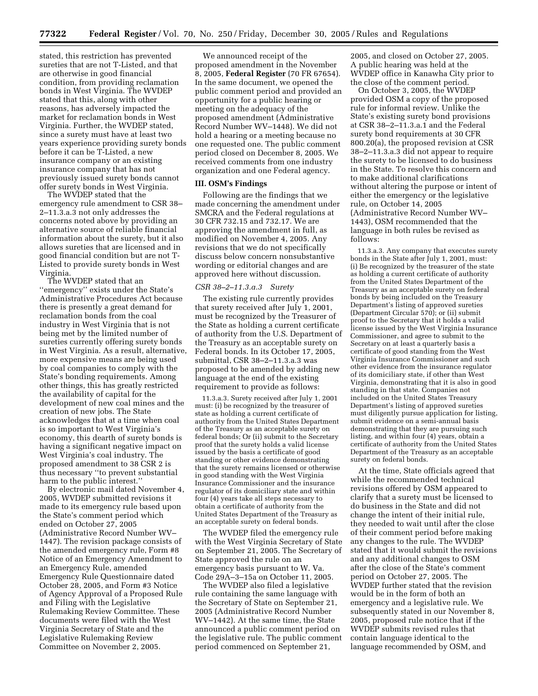stated, this restriction has prevented sureties that are not T-Listed, and that are otherwise in good financial condition, from providing reclamation bonds in West Virginia. The WVDEP stated that this, along with other reasons, has adversely impacted the market for reclamation bonds in West Virginia. Further, the WVDEP stated, since a surety must have at least two years experience providing surety bonds before it can be T-Listed, a new insurance company or an existing insurance company that has not previously issued surety bonds cannot offer surety bonds in West Virginia.

The WVDEP stated that the emergency rule amendment to CSR 38– 2–11.3.a.3 not only addresses the concerns noted above by providing an alternative source of reliable financial information about the surety, but it also allows sureties that are licensed and in good financial condition but are not T-Listed to provide surety bonds in West Virginia.

The WVDEP stated that an ''emergency'' exists under the State's Administrative Procedures Act because there is presently a great demand for reclamation bonds from the coal industry in West Virginia that is not being met by the limited number of sureties currently offering surety bonds in West Virginia. As a result, alternative, more expensive means are being used by coal companies to comply with the State's bonding requirements. Among other things, this has greatly restricted the availability of capital for the development of new coal mines and the creation of new jobs. The State acknowledges that at a time when coal is so important to West Virginia's economy, this dearth of surety bonds is having a significant negative impact on West Virginia's coal industry. The proposed amendment to 38 CSR 2 is thus necessary ''to prevent substantial harm to the public interest.''

By electronic mail dated November 4, 2005, WVDEP submitted revisions it made to its emergency rule based upon the State's comment period which ended on October 27, 2005 (Administrative Record Number WV– 1447). The revision package consists of the amended emergency rule, Form #8 Notice of an Emergency Amendment to an Emergency Rule, amended Emergency Rule Questionnaire dated October 28, 2005, and Form #3 Notice of Agency Approval of a Proposed Rule and Filing with the Legislative Rulemaking Review Committee. These documents were filed with the West Virginia Secretary of State and the Legislative Rulemaking Review Committee on November 2, 2005.

We announced receipt of the proposed amendment in the November 8, 2005, **Federal Register** (70 FR 67654). In the same document, we opened the public comment period and provided an opportunity for a public hearing or meeting on the adequacy of the proposed amendment (Administrative Record Number WV–1448). We did not hold a hearing or a meeting because no one requested one. The public comment period closed on December 8, 2005. We received comments from one industry organization and one Federal agency.

## **III. OSM's Findings**

Following are the findings that we made concerning the amendment under SMCRA and the Federal regulations at 30 CFR 732.15 and 732.17. We are approving the amendment in full, as modified on November 4, 2005. Any revisions that we do not specifically discuss below concern nonsubstantive wording or editorial changes and are approved here without discussion.

#### *CSR 38–2–11.3.a.3 Surety*

The existing rule currently provides that surety received after July 1, 2001, must be recognized by the Treasurer of the State as holding a current certificate of authority from the U.S. Department of the Treasury as an acceptable surety on Federal bonds. In its October 17, 2005, submittal, CSR 38–2–11.3.a.3 was proposed to be amended by adding new language at the end of the existing requirement to provide as follows:

11.3.a.3. Surety received after July 1, 2001 must: (i) be recognized by the treasurer of state as holding a current certificate of authority from the United States Department of the Treasury as an acceptable surety on federal bonds; Or (ii) submit to the Secretary proof that the surety holds a valid license issued by the basis a certificate of good standing or other evidence demonstrating that the surety remains licensed or otherwise in good standing with the West Virginia Insurance Commissioner and the insurance regulator of its domiciliary state and within four (4) years take all steps necessary to obtain a certificate of authority from the United States Department of the Treasury as an acceptable surety on federal bonds.

The WVDEP filed the emergency rule with the West Virginia Secretary of State on September 21, 2005. The Secretary of State approved the rule on an emergency basis pursuant to W. Va. Code 29A–3–15a on October 11, 2005.

The WVDEP also filed a legislative rule containing the same language with the Secretary of State on September 21, 2005 (Administrative Record Number WV–1442). At the same time, the State announced a public comment period on the legislative rule. The public comment period commenced on September 21,

2005, and closed on October 27, 2005. A public hearing was held at the WVDEP office in Kanawha City prior to the close of the comment period.

On October 3, 2005, the WVDEP provided OSM a copy of the proposed rule for informal review. Unlike the State's existing surety bond provisions at CSR 38–2–11.3.a.1 and the Federal surety bond requirements at 30 CFR 800.20(a), the proposed revision at CSR 38–2–11.3.a.3 did not appear to require the surety to be licensed to do business in the State. To resolve this concern and to make additional clarifications without altering the purpose or intent of either the emergency or the legislative rule, on October 14, 2005 (Administrative Record Number WV– 1443), OSM recommended that the language in both rules be revised as follows:

11.3.a.3. Any company that executes surety bonds in the State after July 1, 2001, must: (i) Be recognized by the treasurer of the state as holding a current certificate of authority from the United States Department of the Treasury as an acceptable surety on federal bonds by being included on the Treasury Department's listing of approved sureties (Department Circular 570); or (ii) submit proof to the Secretary that it holds a valid license issued by the West Virginia Insurance Commissioner, and agree to submit to the Secretary on at least a quarterly basis a certificate of good standing from the West Virginia Insurance Commissioner and such other evidence from the insurance regulator of its domiciliary state, if other than West Virginia, demonstrating that it is also in good standing in that state. Companies not included on the United States Treasury Department's listing of approved sureties must diligently pursue application for listing, submit evidence on a semi-annual basis demonstrating that they are pursuing such listing, and within four (4) years, obtain a certificate of authority from the United States Department of the Treasury as an acceptable surety on federal bonds.

At the time, State officials agreed that while the recommended technical revisions offered by OSM appeared to clarify that a surety must be licensed to do business in the State and did not change the intent of their initial rule, they needed to wait until after the close of their comment period before making any changes to the rule. The WVDEP stated that it would submit the revisions and any additional changes to OSM after the close of the State's comment period on October 27, 2005. The WVDEP further stated that the revision would be in the form of both an emergency and a legislative rule. We subsequently stated in our November 8, 2005, proposed rule notice that if the WVDEP submits revised rules that contain language identical to the language recommended by OSM, and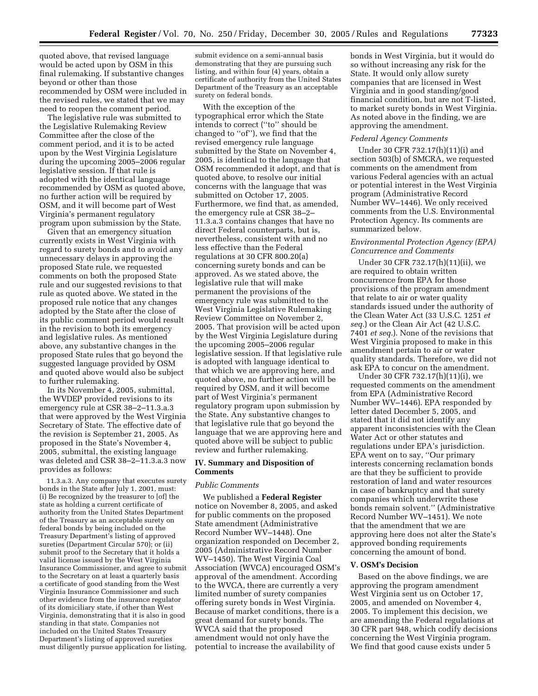quoted above, that revised language would be acted upon by OSM in this final rulemaking. If substantive changes beyond or other than those recommended by OSM were included in the revised rules, we stated that we may need to reopen the comment period.

The legislative rule was submitted to the Legislative Rulemaking Review Committee after the close of the comment period, and it is to be acted upon by the West Virginia Legislature during the upcoming 2005–2006 regular legislative session. If that rule is adopted with the identical language recommended by OSM as quoted above, no further action will be required by OSM, and it will become part of West Virginia's permanent regulatory program upon submission by the State.

Given that an emergency situation currently exists in West Virginia with regard to surety bonds and to avoid any unnecessary delays in approving the proposed State rule, we requested comments on both the proposed State rule and our suggested revisions to that rule as quoted above. We stated in the proposed rule notice that any changes adopted by the State after the close of its public comment period would result in the revision to both its emergency and legislative rules. As mentioned above, any substantive changes in the proposed State rules that go beyond the suggested language provided by OSM and quoted above would also be subject to further rulemaking.

In its November 4, 2005, submittal, the WVDEP provided revisions to its emergency rule at CSR 38–2–11.3.a.3 that were approved by the West Virginia Secretary of State. The effective date of the revision is September 21, 2005. As proposed in the State's November 4, 2005, submittal, the existing language was deleted and CSR 38–2–11.3.a.3 now provides as follows:

11.3.a.3. Any company that executes surety bonds in the State after July 1, 2001, must: (i) Be recognized by the treasurer to [of] the state as holding a current certificate of authority from the United States Department of the Treasury as an acceptable surety on federal bonds by being included on the Treasury Department's listing of approved sureties (Department Circular 570); or (ii) submit proof to the Secretary that it holds a valid license issued by the West Virginia Insurance Commissioner, and agree to submit to the Secretary on at least a quarterly basis a certificate of good standing from the West Virginia Insurance Commissioner and such other evidence from the insurance regulator of its domiciliary state, if other than West Virginia, demonstrating that it is also in good standing in that state. Companies not included on the United States Treasury Department's listing of approved sureties must diligently pursue application for listing,

submit evidence on a semi-annual basis demonstrating that they are pursuing such listing, and within four (4) years, obtain a certificate of authority from the United States Department of the Treasury as an acceptable surety on federal bonds.

With the exception of the typographical error which the State intends to correct (''to'' should be changed to ''of''), we find that the revised emergency rule language submitted by the State on November 4, 2005, is identical to the language that OSM recommended it adopt, and that is quoted above, to resolve our initial concerns with the language that was submitted on October 17, 2005. Furthermore, we find that, as amended, the emergency rule at CSR 38–2– 11.3.a.3 contains changes that have no direct Federal counterparts, but is, nevertheless, consistent with and no less effective than the Federal regulations at 30 CFR 800.20(a) concerning surety bonds and can be approved. As we stated above, the legislative rule that will make permanent the provisions of the emergency rule was submitted to the West Virginia Legislative Rulemaking Review Committee on November 2, 2005. That provision will be acted upon by the West Virginia Legislature during the upcoming 2005–2006 regular legislative session. If that legislative rule is adopted with language identical to that which we are approving here, and quoted above, no further action will be required by OSM, and it will become part of West Virginia's permanent regulatory program upon submission by the State. Any substantive changes to that legislative rule that go beyond the language that we are approving here and quoted above will be subject to public review and further rulemaking.

## **IV. Summary and Disposition of Comments**

### *Public Comments*

We published a **Federal Register**  notice on November 8, 2005, and asked for public comments on the proposed State amendment (Administrative Record Number WV–1448). One organization responded on December 2, 2005 (Administrative Record Number WV–1450). The West Virginia Coal Association (WVCA) encouraged OSM's approval of the amendment. According to the WVCA, there are currently a very limited number of surety companies offering surety bonds in West Virginia. Because of market conditions, there is a great demand for surety bonds. The WVCA said that the proposed amendment would not only have the potential to increase the availability of

bonds in West Virginia, but it would do so without increasing any risk for the State. It would only allow surety companies that are licensed in West Virginia and in good standing/good financial condition, but are not T-listed, to market surety bonds in West Virginia. As noted above in the finding, we are approving the amendment.

### *Federal Agency Comments*

Under 30 CFR 732.17(h)(11)(i) and section 503(b) of SMCRA, we requested comments on the amendment from various Federal agencies with an actual or potential interest in the West Virginia program (Administrative Record Number WV–1446). We only received comments from the U.S. Environmental Protection Agency. Its comments are summarized below.

## *Environmental Protection Agency (EPA) Concurrence and Comments*

Under 30 CFR 732.17(h)(11)(ii), we are required to obtain written concurrence from EPA for those provisions of the program amendment that relate to air or water quality standards issued under the authority of the Clean Water Act (33 U.S.C. 1251 *et seq.*) or the Clean Air Act (42 U.S.C. 7401 *et seq.*). None of the revisions that West Virginia proposed to make in this amendment pertain to air or water quality standards. Therefore, we did not ask EPA to concur on the amendment.

Under 30 CFR 732.17(h)(11)(i), we requested comments on the amendment from EPA (Administrative Record Number WV–1446). EPA responded by letter dated December 5, 2005, and stated that it did not identify any apparent inconsistencies with the Clean Water Act or other statutes and regulations under EPA's jurisdiction. EPA went on to say, ''Our primary interests concerning reclamation bonds are that they be sufficient to provide restoration of land and water resources in case of bankruptcy and that surety companies which underwrite these bonds remain solvent.'' (Administrative Record Number WV–1451). We note that the amendment that we are approving here does not alter the State's approved bonding requirements concerning the amount of bond.

#### **V. OSM's Decision**

Based on the above findings, we are approving the program amendment West Virginia sent us on October 17, 2005, and amended on November 4, 2005. To implement this decision, we are amending the Federal regulations at 30 CFR part 948, which codify decisions concerning the West Virginia program. We find that good cause exists under 5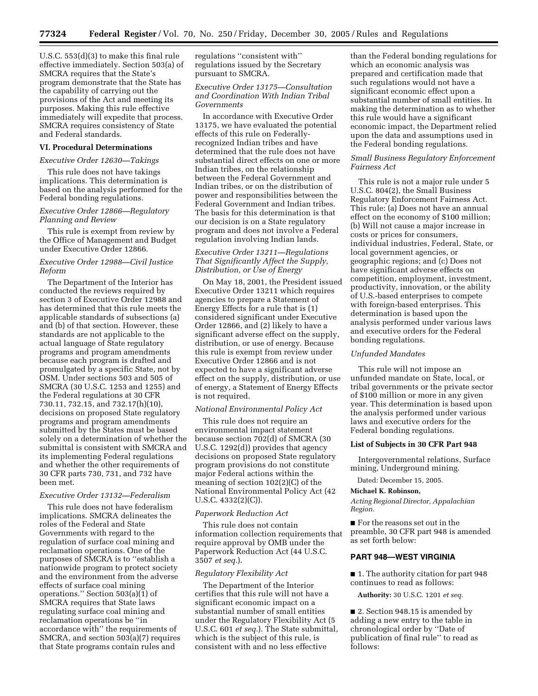U.S.C. 553(d)(3) to make this final rule effective immediately. Section 503(a) of SMCRA requires that the State's program demonstrate that the State has the capability of carrying out the provisions of the Act and meeting its purposes. Making this rule effective immediately will expedite that process. SMCRA requires consistency of State and Federal standards.

### **VI. Procedural Determinations**

### *Executive Order 12630—Takings*

This rule does not have takings implications. This determination is based on the analysis performed for the Federal bonding regulations.

# *Executive Order 12866—Regulatory Planning and Review*

This rule is exempt from review by the Office of Management and Budget under Executive Order 12866.

# *Executive Order 12988—Civil Justice Reform*

The Department of the Interior has conducted the reviews required by section 3 of Executive Order 12988 and has determined that this rule meets the applicable standards of subsections (a) and (b) of that section. However, these standards are not applicable to the actual language of State regulatory programs and program amendments because each program is drafted and promulgated by a specific State, not by OSM. Under sections 503 and 505 of SMCRA (30 U.S.C. 1253 and 1255) and the Federal regulations at 30 CFR 730.11, 732.15, and 732.17(h)(10), decisions on proposed State regulatory programs and program amendments submitted by the States must be based solely on a determination of whether the submittal is consistent with SMCRA and its implementing Federal regulations and whether the other requirements of 30 CFR parts 730, 731, and 732 have been met.

#### *Executive Order 13132—Federalism*

This rule does not have federalism implications. SMCRA delineates the roles of the Federal and State Governments with regard to the regulation of surface coal mining and reclamation operations. One of the purposes of SMCRA is to ''establish a nationwide program to protect society and the environment from the adverse effects of surface coal mining operations.'' Section 503(a)(1) of SMCRA requires that State laws regulating surface coal mining and reclamation operations be ''in accordance with'' the requirements of SMCRA, and section 503(a)(7) requires that State programs contain rules and

regulations ''consistent with'' regulations issued by the Secretary pursuant to SMCRA.

# *Executive Order 13175—Consultation and Coordination With Indian Tribal Governments*

In accordance with Executive Order 13175, we have evaluated the potential effects of this rule on Federallyrecognized Indian tribes and have determined that the rule does not have substantial direct effects on one or more Indian tribes, on the relationship between the Federal Government and Indian tribes, or on the distribution of power and responsibilities between the Federal Government and Indian tribes. The basis for this determination is that our decision is on a State regulatory program and does not involve a Federal regulation involving Indian lands.

## *Executive Order 13211—Regulations That Significantly Affect the Supply, Distribution, or Use of Energy*

On May 18, 2001, the President issued Executive Order 13211 which requires agencies to prepare a Statement of Energy Effects for a rule that is (1) considered significant under Executive Order 12866, and (2) likely to have a significant adverse effect on the supply, distribution, or use of energy. Because this rule is exempt from review under Executive Order 12866 and is not expected to have a significant adverse effect on the supply, distribution, or use of energy, a Statement of Energy Effects is not required.

#### *National Environmental Policy Act*

This rule does not require an environmental impact statement because section 702(d) of SMCRA (30 U.S.C. 1292(d)) provides that agency decisions on proposed State regulatory program provisions do not constitute major Federal actions within the meaning of section 102(2)(C) of the National Environmental Policy Act (42 U.S.C. 4332(2)(C)).

### *Paperwork Reduction Act*

This rule does not contain information collection requirements that require approval by OMB under the Paperwork Reduction Act (44 U.S.C. 3507 *et seq.*).

### *Regulatory Flexibility Act*

The Department of the Interior certifies that this rule will not have a significant economic impact on a substantial number of small entities under the Regulatory Flexibility Act (5 U.S.C. 601 *et seq.*). The State submittal, which is the subject of this rule, is consistent with and no less effective

than the Federal bonding regulations for which an economic analysis was prepared and certification made that such regulations would not have a significant economic effect upon a substantial number of small entities. In making the determination as to whether this rule would have a significant economic impact, the Department relied upon the data and assumptions used in the Federal bonding regulations.

# *Small Business Regulatory Enforcement Fairness Act*

This rule is not a major rule under 5 U.S.C. 804(2), the Small Business Regulatory Enforcement Fairness Act. This rule: (a) Does not have an annual effect on the economy of \$100 million; (b) Will not cause a major increase in costs or prices for consumers, individual industries, Federal, State, or local government agencies, or geographic regions; and (c) Does not have significant adverse effects on competition, employment, investment, productivity, innovation, or the ability of U.S.-based enterprises to compete with foreign-based enterprises. This determination is based upon the analysis performed under various laws and executive orders for the Federal bonding regulations.

#### *Unfunded Mandates*

This rule will not impose an unfunded mandate on State, local, or tribal governments or the private sector of \$100 million or more in any given year. This determination is based upon the analysis performed under various laws and executive orders for the Federal bonding regulations.

### **List of Subjects in 30 CFR Part 948**

Intergovernmental relations, Surface mining, Underground mining.

Dated: December 15, 2005.

#### **Michael K. Robinson,**

*Acting Regional Director, Appalachian Region.* 

■ For the reasons set out in the preamble, 30 CFR part 948 is amended as set forth below:

# **PART 948—WEST VIRGINIA**

■ 1. The authority citation for part 948 continues to read as follows:

**Authority:** 30 U.S.C. 1201 *et seq.* 

■ 2. Section 948.15 is amended by adding a new entry to the table in chronological order by ''Date of publication of final rule'' to read as follows: